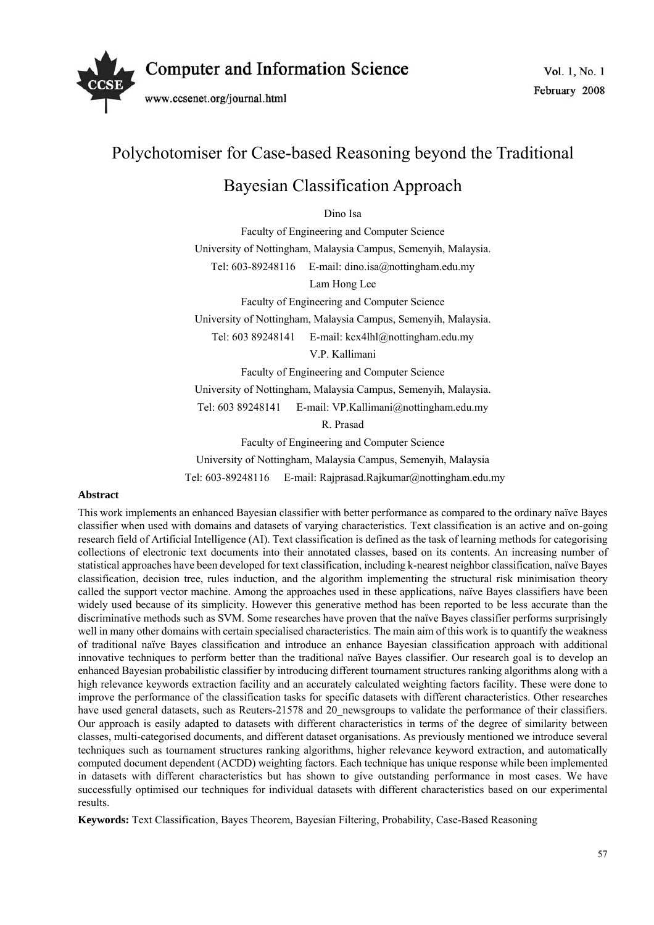

# Polychotomiser for Case-based Reasoning beyond the Traditional

# Bayesian Classification Approach

Dino Isa

Faculty of Engineering and Computer Science

University of Nottingham, Malaysia Campus, Semenyih, Malaysia.

Tel: 603-89248116 E-mail: dino.isa@nottingham.edu.my

Lam Hong Lee

Faculty of Engineering and Computer Science

University of Nottingham, Malaysia Campus, Semenyih, Malaysia.

Tel: 603 89248141 E-mail: kcx4lhl@nottingham.edu.my

V.P. Kallimani

Faculty of Engineering and Computer Science

University of Nottingham, Malaysia Campus, Semenyih, Malaysia.

Tel: 603 89248141 E-mail: VP.Kallimani@nottingham.edu.my

R. Prasad

Faculty of Engineering and Computer Science

University of Nottingham, Malaysia Campus, Semenyih, Malaysia

Tel: 603-89248116 E-mail: Rajprasad.Rajkumar@nottingham.edu.my

## **Abstract**

This work implements an enhanced Bayesian classifier with better performance as compared to the ordinary naïve Bayes classifier when used with domains and datasets of varying characteristics. Text classification is an active and on-going research field of Artificial Intelligence (AI). Text classification is defined as the task of learning methods for categorising collections of electronic text documents into their annotated classes, based on its contents. An increasing number of statistical approaches have been developed for text classification, including k-nearest neighbor classification, naïve Bayes classification, decision tree, rules induction, and the algorithm implementing the structural risk minimisation theory called the support vector machine. Among the approaches used in these applications, naïve Bayes classifiers have been widely used because of its simplicity. However this generative method has been reported to be less accurate than the discriminative methods such as SVM. Some researches have proven that the naïve Bayes classifier performs surprisingly well in many other domains with certain specialised characteristics. The main aim of this work is to quantify the weakness of traditional naïve Bayes classification and introduce an enhance Bayesian classification approach with additional innovative techniques to perform better than the traditional naïve Bayes classifier. Our research goal is to develop an enhanced Bayesian probabilistic classifier by introducing different tournament structures ranking algorithms along with a high relevance keywords extraction facility and an accurately calculated weighting factors facility. These were done to improve the performance of the classification tasks for specific datasets with different characteristics. Other researches have used general datasets, such as Reuters-21578 and 20 newsgroups to validate the performance of their classifiers. Our approach is easily adapted to datasets with different characteristics in terms of the degree of similarity between classes, multi-categorised documents, and different dataset organisations. As previously mentioned we introduce several techniques such as tournament structures ranking algorithms, higher relevance keyword extraction, and automatically computed document dependent (ACDD) weighting factors. Each technique has unique response while been implemented in datasets with different characteristics but has shown to give outstanding performance in most cases. We have successfully optimised our techniques for individual datasets with different characteristics based on our experimental results.

**Keywords:** Text Classification, Bayes Theorem, Bayesian Filtering, Probability, Case-Based Reasoning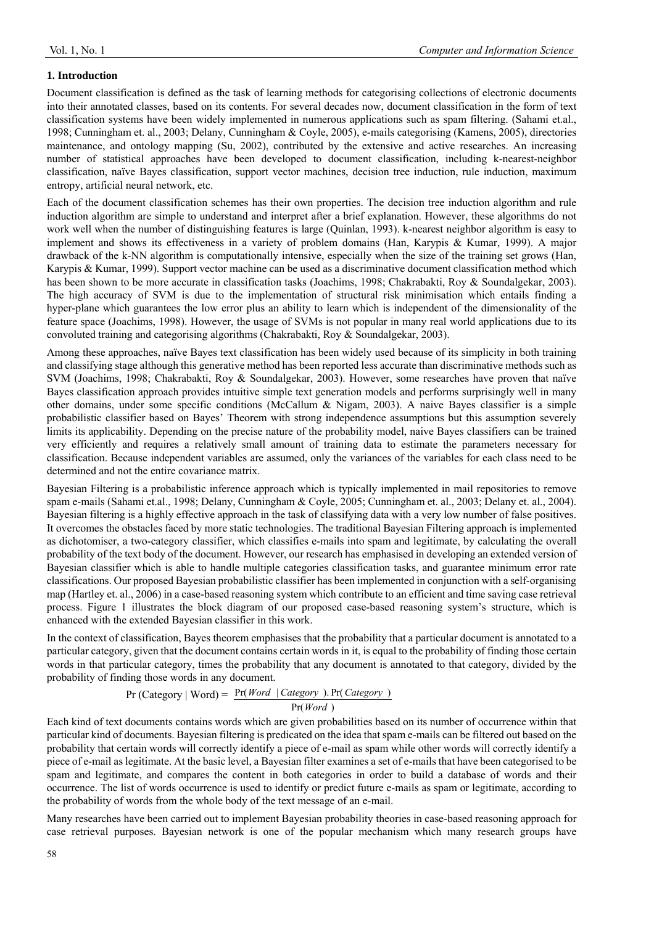## **1. Introduction**

Document classification is defined as the task of learning methods for categorising collections of electronic documents into their annotated classes, based on its contents. For several decades now, document classification in the form of text classification systems have been widely implemented in numerous applications such as spam filtering. (Sahami et.al., 1998; Cunningham et. al., 2003; Delany, Cunningham & Coyle, 2005), e-mails categorising (Kamens, 2005), directories maintenance, and ontology mapping (Su, 2002), contributed by the extensive and active researches. An increasing number of statistical approaches have been developed to document classification, including k-nearest-neighbor classification, naïve Bayes classification, support vector machines, decision tree induction, rule induction, maximum entropy, artificial neural network, etc.

Each of the document classification schemes has their own properties. The decision tree induction algorithm and rule induction algorithm are simple to understand and interpret after a brief explanation. However, these algorithms do not work well when the number of distinguishing features is large (Quinlan, 1993). k-nearest neighbor algorithm is easy to implement and shows its effectiveness in a variety of problem domains (Han, Karypis & Kumar, 1999). A major drawback of the k-NN algorithm is computationally intensive, especially when the size of the training set grows (Han, Karypis & Kumar, 1999). Support vector machine can be used as a discriminative document classification method which has been shown to be more accurate in classification tasks (Joachims, 1998; Chakrabakti, Roy & Soundalgekar, 2003). The high accuracy of SVM is due to the implementation of structural risk minimisation which entails finding a hyper-plane which guarantees the low error plus an ability to learn which is independent of the dimensionality of the feature space (Joachims, 1998). However, the usage of SVMs is not popular in many real world applications due to its convoluted training and categorising algorithms (Chakrabakti, Roy & Soundalgekar, 2003).

Among these approaches, naïve Bayes text classification has been widely used because of its simplicity in both training and classifying stage although this generative method has been reported less accurate than discriminative methods such as SVM (Joachims, 1998; Chakrabakti, Roy & Soundalgekar, 2003). However, some researches have proven that naïve Bayes classification approach provides intuitive simple text generation models and performs surprisingly well in many other domains, under some specific conditions (McCallum & Nigam, 2003). A naive Bayes classifier is a simple probabilistic classifier based on Bayes' Theorem with strong independence assumptions but this assumption severely limits its applicability. Depending on the precise nature of the probability model, naive Bayes classifiers can be trained very efficiently and requires a relatively small amount of training data to estimate the parameters necessary for classification. Because independent variables are assumed, only the variances of the variables for each class need to be determined and not the entire covariance matrix.

Bayesian Filtering is a probabilistic inference approach which is typically implemented in mail repositories to remove spam e-mails (Sahami et.al., 1998; Delany, Cunningham & Coyle, 2005; Cunningham et. al., 2003; Delany et. al., 2004). Bayesian filtering is a highly effective approach in the task of classifying data with a very low number of false positives. It overcomes the obstacles faced by more static technologies. The traditional Bayesian Filtering approach is implemented as dichotomiser, a two-category classifier, which classifies e-mails into spam and legitimate, by calculating the overall probability of the text body of the document. However, our research has emphasised in developing an extended version of Bayesian classifier which is able to handle multiple categories classification tasks, and guarantee minimum error rate classifications. Our proposed Bayesian probabilistic classifier has been implemented in conjunction with a self-organising map (Hartley et. al., 2006) in a case-based reasoning system which contribute to an efficient and time saving case retrieval process. Figure 1 illustrates the block diagram of our proposed case-based reasoning system's structure, which is enhanced with the extended Bayesian classifier in this work.

In the context of classification, Bayes theorem emphasises that the probability that a particular document is annotated to a particular category, given that the document contains certain words in it, is equal to the probability of finding those certain words in that particular category, times the probability that any document is annotated to that category, divided by the probability of finding those words in any document.

$$
Pr(Category | Word) = \frac{Pr(Word | Category |. Pr(Category |)
$$

$$
Pr(Word)
$$

Each kind of text documents contains words which are given probabilities based on its number of occurrence within that particular kind of documents. Bayesian filtering is predicated on the idea that spam e-mails can be filtered out based on the probability that certain words will correctly identify a piece of e-mail as spam while other words will correctly identify a piece of e-mail as legitimate. At the basic level, a Bayesian filter examines a set of e-mails that have been categorised to be spam and legitimate, and compares the content in both categories in order to build a database of words and their occurrence. The list of words occurrence is used to identify or predict future e-mails as spam or legitimate, according to the probability of words from the whole body of the text message of an e-mail.

Many researches have been carried out to implement Bayesian probability theories in case-based reasoning approach for case retrieval purposes. Bayesian network is one of the popular mechanism which many research groups have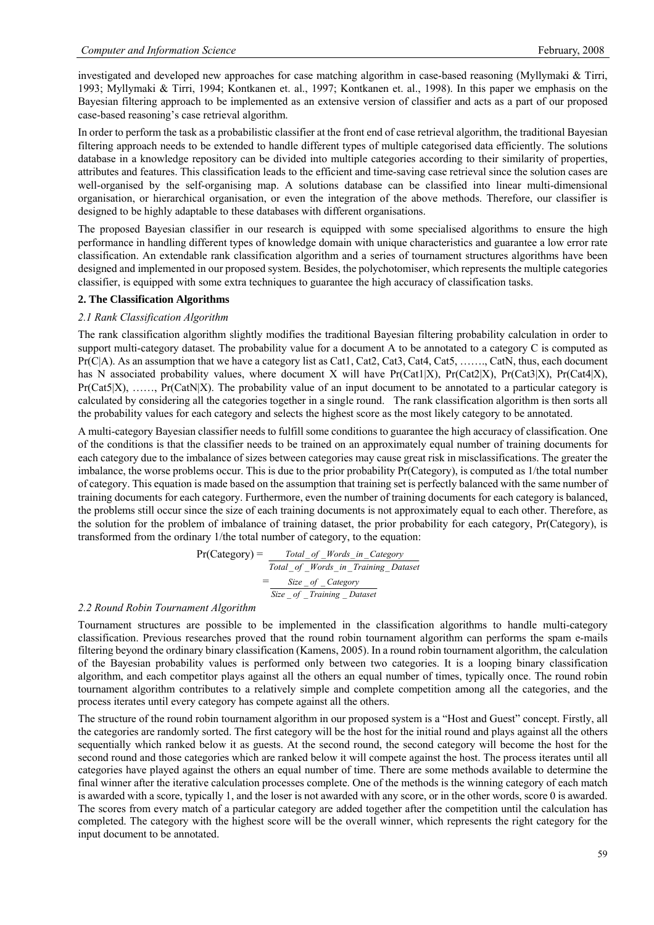investigated and developed new approaches for case matching algorithm in case-based reasoning (Myllymaki & Tirri, 1993; Myllymaki & Tirri, 1994; Kontkanen et. al., 1997; Kontkanen et. al., 1998). In this paper we emphasis on the Bayesian filtering approach to be implemented as an extensive version of classifier and acts as a part of our proposed case-based reasoning's case retrieval algorithm.

In order to perform the task as a probabilistic classifier at the front end of case retrieval algorithm, the traditional Bayesian filtering approach needs to be extended to handle different types of multiple categorised data efficiently. The solutions database in a knowledge repository can be divided into multiple categories according to their similarity of properties, attributes and features. This classification leads to the efficient and time-saving case retrieval since the solution cases are well-organised by the self-organising map. A solutions database can be classified into linear multi-dimensional organisation, or hierarchical organisation, or even the integration of the above methods. Therefore, our classifier is designed to be highly adaptable to these databases with different organisations.

The proposed Bayesian classifier in our research is equipped with some specialised algorithms to ensure the high performance in handling different types of knowledge domain with unique characteristics and guarantee a low error rate classification. An extendable rank classification algorithm and a series of tournament structures algorithms have been designed and implemented in our proposed system. Besides, the polychotomiser, which represents the multiple categories classifier, is equipped with some extra techniques to guarantee the high accuracy of classification tasks.

#### **2. The Classification Algorithms**

#### *2.1 Rank Classification Algorithm*

The rank classification algorithm slightly modifies the traditional Bayesian filtering probability calculation in order to support multi-category dataset. The probability value for a document A to be annotated to a category C is computed as  $Pr(C|A)$ . As an assumption that we have a category list as Cat1, Cat2, Cat3, Cat4, Cat5, ……., CatN, thus, each document has N associated probability values, where document X will have Pr(Cat1|X), Pr(Cat2|X), Pr(Cat3|X), Pr(Cat4|X),  $Pr(Cat5|X)$ , .....,  $Pr(CatN|X)$ . The probability value of an input document to be annotated to a particular category is calculated by considering all the categories together in a single round. The rank classification algorithm is then sorts all the probability values for each category and selects the highest score as the most likely category to be annotated.

A multi-category Bayesian classifier needs to fulfill some conditions to guarantee the high accuracy of classification. One of the conditions is that the classifier needs to be trained on an approximately equal number of training documents for each category due to the imbalance of sizes between categories may cause great risk in misclassifications. The greater the imbalance, the worse problems occur. This is due to the prior probability Pr(Category), is computed as 1/the total number of category. This equation is made based on the assumption that training set is perfectly balanced with the same number of training documents for each category. Furthermore, even the number of training documents for each category is balanced, the problems still occur since the size of each training documents is not approximately equal to each other. Therefore, as the solution for the problem of imbalance of training dataset, the prior probability for each category, Pr(Category), is transformed from the ordinary 1/the total number of category, to the equation:

$$
Pr(Categy) = \frac{Total\_of\_Words\_in\_Category}{Total\_of\_Words\_in\_Training\_Database}
$$

$$
= \frac{Size\_of\_Category}{Size\_of\_Training\_Database}
$$

#### *2.2 Round Robin Tournament Algorithm*

Tournament structures are possible to be implemented in the classification algorithms to handle multi-category classification. Previous researches proved that the round robin tournament algorithm can performs the spam e-mails filtering beyond the ordinary binary classification (Kamens, 2005). In a round robin tournament algorithm, the calculation of the Bayesian probability values is performed only between two categories. It is a looping binary classification algorithm, and each competitor plays against all the others an equal number of times, typically once. The round robin tournament algorithm contributes to a relatively simple and complete competition among all the categories, and the process iterates until every category has compete against all the others.

The structure of the round robin tournament algorithm in our proposed system is a "Host and Guest" concept. Firstly, all the categories are randomly sorted. The first category will be the host for the initial round and plays against all the others sequentially which ranked below it as guests. At the second round, the second category will become the host for the second round and those categories which are ranked below it will compete against the host. The process iterates until all categories have played against the others an equal number of time. There are some methods available to determine the final winner after the iterative calculation processes complete. One of the methods is the winning category of each match is awarded with a score, typically 1, and the loser is not awarded with any score, or in the other words, score 0 is awarded. The scores from every match of a particular category are added together after the competition until the calculation has completed. The category with the highest score will be the overall winner, which represents the right category for the input document to be annotated.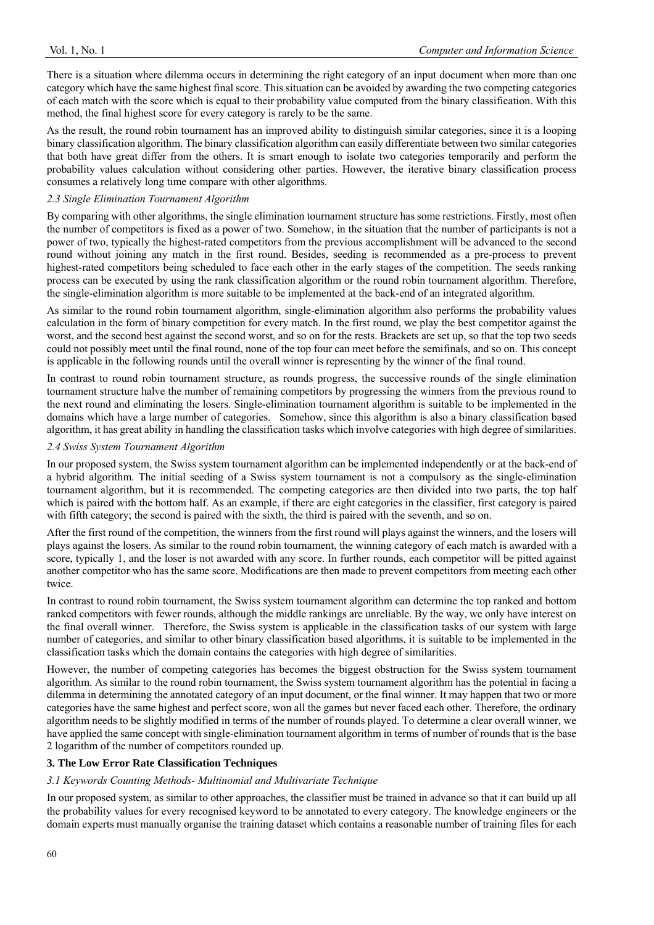There is a situation where dilemma occurs in determining the right category of an input document when more than one category which have the same highest final score. This situation can be avoided by awarding the two competing categories of each match with the score which is equal to their probability value computed from the binary classification. With this method, the final highest score for every category is rarely to be the same.

As the result, the round robin tournament has an improved ability to distinguish similar categories, since it is a looping binary classification algorithm. The binary classification algorithm can easily differentiate between two similar categories that both have great differ from the others. It is smart enough to isolate two categories temporarily and perform the probability values calculation without considering other parties. However, the iterative binary classification process consumes a relatively long time compare with other algorithms.

## *2.3 Single Elimination Tournament Algorithm*

By comparing with other algorithms, the single elimination tournament structure has some restrictions. Firstly, most often the number of competitors is fixed as a power of two. Somehow, in the situation that the number of participants is not a power of two, typically the highest-rated competitors from the previous accomplishment will be advanced to the second round without joining any match in the first round. Besides, seeding is recommended as a pre-process to prevent highest-rated competitors being scheduled to face each other in the early stages of the competition. The seeds ranking process can be executed by using the rank classification algorithm or the round robin tournament algorithm. Therefore, the single-elimination algorithm is more suitable to be implemented at the back-end of an integrated algorithm.

As similar to the round robin tournament algorithm, single-elimination algorithm also performs the probability values calculation in the form of binary competition for every match. In the first round, we play the best competitor against the worst, and the second best against the second worst, and so on for the rests. Brackets are set up, so that the top two seeds could not possibly meet until the final round, none of the top four can meet before the semifinals, and so on. This concept is applicable in the following rounds until the overall winner is representing by the winner of the final round.

In contrast to round robin tournament structure, as rounds progress, the successive rounds of the single elimination tournament structure halve the number of remaining competitors by progressing the winners from the previous round to the next round and eliminating the losers. Single-elimination tournament algorithm is suitable to be implemented in the domains which have a large number of categories. Somehow, since this algorithm is also a binary classification based algorithm, it has great ability in handling the classification tasks which involve categories with high degree of similarities.

## *2.4 Swiss System Tournament Algorithm*

In our proposed system, the Swiss system tournament algorithm can be implemented independently or at the back-end of a hybrid algorithm. The initial seeding of a Swiss system tournament is not a compulsory as the single-elimination tournament algorithm, but it is recommended. The competing categories are then divided into two parts, the top half which is paired with the bottom half. As an example, if there are eight categories in the classifier, first category is paired with fifth category; the second is paired with the sixth, the third is paired with the seventh, and so on.

After the first round of the competition, the winners from the first round will plays against the winners, and the losers will plays against the losers. As similar to the round robin tournament, the winning category of each match is awarded with a score, typically 1, and the loser is not awarded with any score. In further rounds, each competitor will be pitted against another competitor who has the same score. Modifications are then made to prevent competitors from meeting each other twice.

In contrast to round robin tournament, the Swiss system tournament algorithm can determine the top ranked and bottom ranked competitors with fewer rounds, although the middle rankings are unreliable. By the way, we only have interest on the final overall winner. Therefore, the Swiss system is applicable in the classification tasks of our system with large number of categories, and similar to other binary classification based algorithms, it is suitable to be implemented in the classification tasks which the domain contains the categories with high degree of similarities.

However, the number of competing categories has becomes the biggest obstruction for the Swiss system tournament algorithm. As similar to the round robin tournament, the Swiss system tournament algorithm has the potential in facing a dilemma in determining the annotated category of an input document, or the final winner. It may happen that two or more categories have the same highest and perfect score, won all the games but never faced each other. Therefore, the ordinary algorithm needs to be slightly modified in terms of the number of rounds played. To determine a clear overall winner, we have applied the same concept with single-elimination tournament algorithm in terms of number of rounds that is the base 2 logarithm of the number of competitors rounded up.

# **3. The Low Error Rate Classification Techniques**

## *3.1 Keywords Counting Methods- Multinomial and Multivariate Technique*

In our proposed system, as similar to other approaches, the classifier must be trained in advance so that it can build up all the probability values for every recognised keyword to be annotated to every category. The knowledge engineers or the domain experts must manually organise the training dataset which contains a reasonable number of training files for each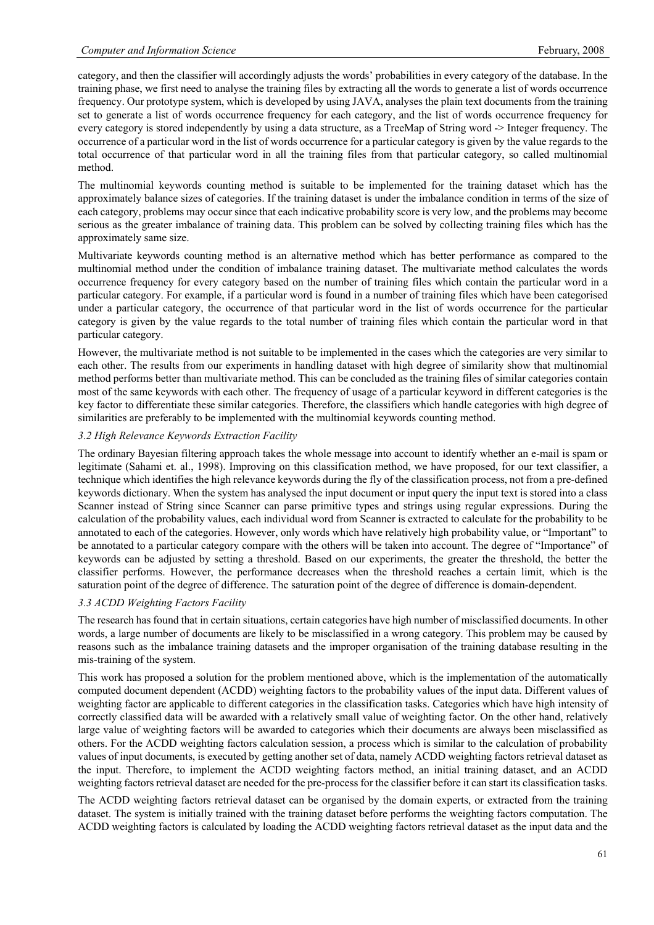category, and then the classifier will accordingly adjusts the words' probabilities in every category of the database. In the training phase, we first need to analyse the training files by extracting all the words to generate a list of words occurrence frequency. Our prototype system, which is developed by using JAVA, analyses the plain text documents from the training set to generate a list of words occurrence frequency for each category, and the list of words occurrence frequency for every category is stored independently by using a data structure, as a TreeMap of String word -> Integer frequency. The occurrence of a particular word in the list of words occurrence for a particular category is given by the value regards to the total occurrence of that particular word in all the training files from that particular category, so called multinomial method.

The multinomial keywords counting method is suitable to be implemented for the training dataset which has the approximately balance sizes of categories. If the training dataset is under the imbalance condition in terms of the size of each category, problems may occur since that each indicative probability score is very low, and the problems may become serious as the greater imbalance of training data. This problem can be solved by collecting training files which has the approximately same size.

Multivariate keywords counting method is an alternative method which has better performance as compared to the multinomial method under the condition of imbalance training dataset. The multivariate method calculates the words occurrence frequency for every category based on the number of training files which contain the particular word in a particular category. For example, if a particular word is found in a number of training files which have been categorised under a particular category, the occurrence of that particular word in the list of words occurrence for the particular category is given by the value regards to the total number of training files which contain the particular word in that particular category.

However, the multivariate method is not suitable to be implemented in the cases which the categories are very similar to each other. The results from our experiments in handling dataset with high degree of similarity show that multinomial method performs better than multivariate method. This can be concluded as the training files of similar categories contain most of the same keywords with each other. The frequency of usage of a particular keyword in different categories is the key factor to differentiate these similar categories. Therefore, the classifiers which handle categories with high degree of similarities are preferably to be implemented with the multinomial keywords counting method.

## *3.2 High Relevance Keywords Extraction Facility*

The ordinary Bayesian filtering approach takes the whole message into account to identify whether an e-mail is spam or legitimate (Sahami et. al., 1998). Improving on this classification method, we have proposed, for our text classifier, a technique which identifies the high relevance keywords during the fly of the classification process, not from a pre-defined keywords dictionary. When the system has analysed the input document or input query the input text is stored into a class Scanner instead of String since Scanner can parse primitive types and strings using regular expressions. During the calculation of the probability values, each individual word from Scanner is extracted to calculate for the probability to be annotated to each of the categories. However, only words which have relatively high probability value, or "Important" to be annotated to a particular category compare with the others will be taken into account. The degree of "Importance" of keywords can be adjusted by setting a threshold. Based on our experiments, the greater the threshold, the better the classifier performs. However, the performance decreases when the threshold reaches a certain limit, which is the saturation point of the degree of difference. The saturation point of the degree of difference is domain-dependent.

## *3.3 ACDD Weighting Factors Facility*

The research has found that in certain situations, certain categories have high number of misclassified documents. In other words, a large number of documents are likely to be misclassified in a wrong category. This problem may be caused by reasons such as the imbalance training datasets and the improper organisation of the training database resulting in the mis-training of the system.

This work has proposed a solution for the problem mentioned above, which is the implementation of the automatically computed document dependent (ACDD) weighting factors to the probability values of the input data. Different values of weighting factor are applicable to different categories in the classification tasks. Categories which have high intensity of correctly classified data will be awarded with a relatively small value of weighting factor. On the other hand, relatively large value of weighting factors will be awarded to categories which their documents are always been misclassified as others. For the ACDD weighting factors calculation session, a process which is similar to the calculation of probability values of input documents, is executed by getting another set of data, namely ACDD weighting factors retrieval dataset as the input. Therefore, to implement the ACDD weighting factors method, an initial training dataset, and an ACDD weighting factors retrieval dataset are needed for the pre-process for the classifier before it can start its classification tasks.

The ACDD weighting factors retrieval dataset can be organised by the domain experts, or extracted from the training dataset. The system is initially trained with the training dataset before performs the weighting factors computation. The ACDD weighting factors is calculated by loading the ACDD weighting factors retrieval dataset as the input data and the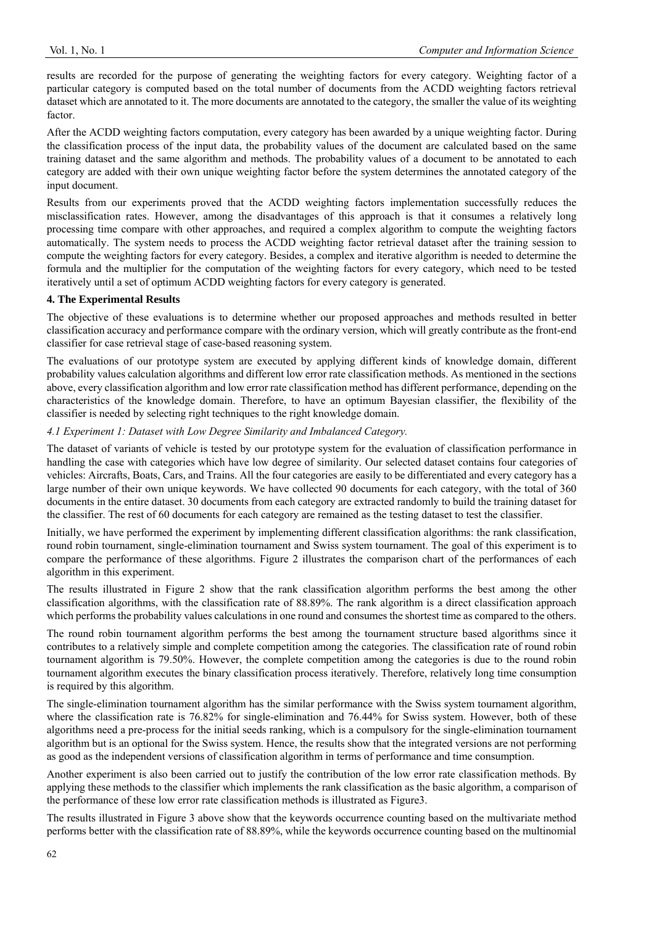results are recorded for the purpose of generating the weighting factors for every category. Weighting factor of a particular category is computed based on the total number of documents from the ACDD weighting factors retrieval dataset which are annotated to it. The more documents are annotated to the category, the smaller the value of its weighting factor.

After the ACDD weighting factors computation, every category has been awarded by a unique weighting factor. During the classification process of the input data, the probability values of the document are calculated based on the same training dataset and the same algorithm and methods. The probability values of a document to be annotated to each category are added with their own unique weighting factor before the system determines the annotated category of the input document.

Results from our experiments proved that the ACDD weighting factors implementation successfully reduces the misclassification rates. However, among the disadvantages of this approach is that it consumes a relatively long processing time compare with other approaches, and required a complex algorithm to compute the weighting factors automatically. The system needs to process the ACDD weighting factor retrieval dataset after the training session to compute the weighting factors for every category. Besides, a complex and iterative algorithm is needed to determine the formula and the multiplier for the computation of the weighting factors for every category, which need to be tested iteratively until a set of optimum ACDD weighting factors for every category is generated.

## **4. The Experimental Results**

The objective of these evaluations is to determine whether our proposed approaches and methods resulted in better classification accuracy and performance compare with the ordinary version, which will greatly contribute as the front-end classifier for case retrieval stage of case-based reasoning system.

The evaluations of our prototype system are executed by applying different kinds of knowledge domain, different probability values calculation algorithms and different low error rate classification methods. As mentioned in the sections above, every classification algorithm and low error rate classification method has different performance, depending on the characteristics of the knowledge domain. Therefore, to have an optimum Bayesian classifier, the flexibility of the classifier is needed by selecting right techniques to the right knowledge domain.

## *4.1 Experiment 1: Dataset with Low Degree Similarity and Imbalanced Category.*

The dataset of variants of vehicle is tested by our prototype system for the evaluation of classification performance in handling the case with categories which have low degree of similarity. Our selected dataset contains four categories of vehicles: Aircrafts, Boats, Cars, and Trains. All the four categories are easily to be differentiated and every category has a large number of their own unique keywords. We have collected 90 documents for each category, with the total of 360 documents in the entire dataset. 30 documents from each category are extracted randomly to build the training dataset for the classifier. The rest of 60 documents for each category are remained as the testing dataset to test the classifier.

Initially, we have performed the experiment by implementing different classification algorithms: the rank classification, round robin tournament, single-elimination tournament and Swiss system tournament. The goal of this experiment is to compare the performance of these algorithms. Figure 2 illustrates the comparison chart of the performances of each algorithm in this experiment.

The results illustrated in Figure 2 show that the rank classification algorithm performs the best among the other classification algorithms, with the classification rate of 88.89%. The rank algorithm is a direct classification approach which performs the probability values calculations in one round and consumes the shortest time as compared to the others.

The round robin tournament algorithm performs the best among the tournament structure based algorithms since it contributes to a relatively simple and complete competition among the categories. The classification rate of round robin tournament algorithm is 79.50%. However, the complete competition among the categories is due to the round robin tournament algorithm executes the binary classification process iteratively. Therefore, relatively long time consumption is required by this algorithm.

The single-elimination tournament algorithm has the similar performance with the Swiss system tournament algorithm, where the classification rate is 76.82% for single-elimination and 76.44% for Swiss system. However, both of these algorithms need a pre-process for the initial seeds ranking, which is a compulsory for the single-elimination tournament algorithm but is an optional for the Swiss system. Hence, the results show that the integrated versions are not performing as good as the independent versions of classification algorithm in terms of performance and time consumption.

Another experiment is also been carried out to justify the contribution of the low error rate classification methods. By applying these methods to the classifier which implements the rank classification as the basic algorithm, a comparison of the performance of these low error rate classification methods is illustrated as Figure3.

The results illustrated in Figure 3 above show that the keywords occurrence counting based on the multivariate method performs better with the classification rate of 88.89%, while the keywords occurrence counting based on the multinomial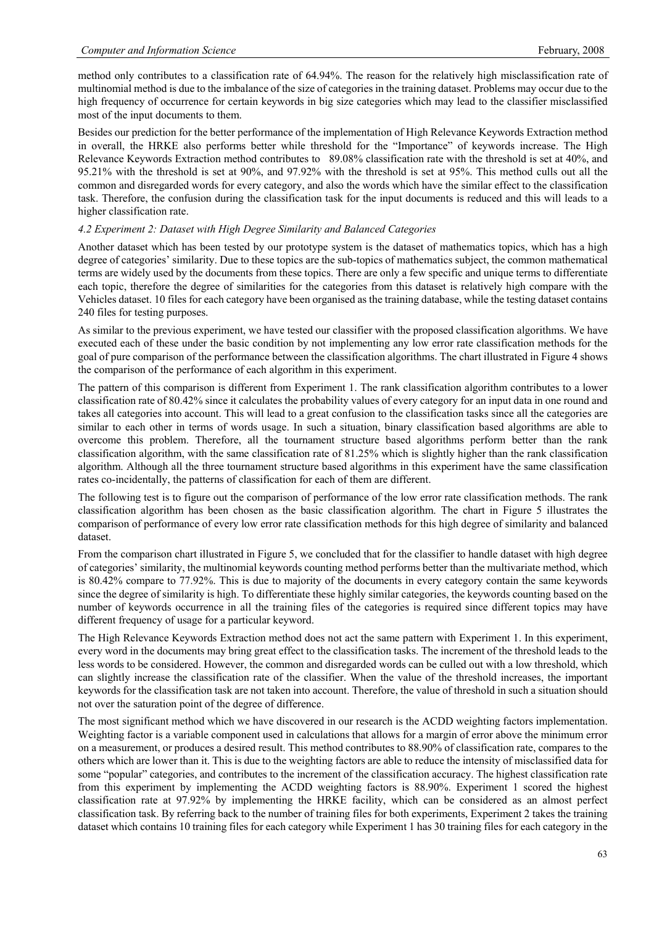method only contributes to a classification rate of 64.94%. The reason for the relatively high misclassification rate of multinomial method is due to the imbalance of the size of categories in the training dataset. Problems may occur due to the high frequency of occurrence for certain keywords in big size categories which may lead to the classifier misclassified most of the input documents to them.

Besides our prediction for the better performance of the implementation of High Relevance Keywords Extraction method in overall, the HRKE also performs better while threshold for the "Importance" of keywords increase. The High Relevance Keywords Extraction method contributes to 89.08% classification rate with the threshold is set at 40%, and 95.21% with the threshold is set at 90%, and 97.92% with the threshold is set at 95%. This method culls out all the common and disregarded words for every category, and also the words which have the similar effect to the classification task. Therefore, the confusion during the classification task for the input documents is reduced and this will leads to a higher classification rate.

## *4.2 Experiment 2: Dataset with High Degree Similarity and Balanced Categories*

Another dataset which has been tested by our prototype system is the dataset of mathematics topics, which has a high degree of categories' similarity. Due to these topics are the sub-topics of mathematics subject, the common mathematical terms are widely used by the documents from these topics. There are only a few specific and unique terms to differentiate each topic, therefore the degree of similarities for the categories from this dataset is relatively high compare with the Vehicles dataset. 10 files for each category have been organised as the training database, while the testing dataset contains 240 files for testing purposes.

As similar to the previous experiment, we have tested our classifier with the proposed classification algorithms. We have executed each of these under the basic condition by not implementing any low error rate classification methods for the goal of pure comparison of the performance between the classification algorithms. The chart illustrated in Figure 4 shows the comparison of the performance of each algorithm in this experiment.

The pattern of this comparison is different from Experiment 1. The rank classification algorithm contributes to a lower classification rate of 80.42% since it calculates the probability values of every category for an input data in one round and takes all categories into account. This will lead to a great confusion to the classification tasks since all the categories are similar to each other in terms of words usage. In such a situation, binary classification based algorithms are able to overcome this problem. Therefore, all the tournament structure based algorithms perform better than the rank classification algorithm, with the same classification rate of 81.25% which is slightly higher than the rank classification algorithm. Although all the three tournament structure based algorithms in this experiment have the same classification rates co-incidentally, the patterns of classification for each of them are different.

The following test is to figure out the comparison of performance of the low error rate classification methods. The rank classification algorithm has been chosen as the basic classification algorithm. The chart in Figure 5 illustrates the comparison of performance of every low error rate classification methods for this high degree of similarity and balanced dataset.

From the comparison chart illustrated in Figure 5, we concluded that for the classifier to handle dataset with high degree of categories' similarity, the multinomial keywords counting method performs better than the multivariate method, which is 80.42% compare to 77.92%. This is due to majority of the documents in every category contain the same keywords since the degree of similarity is high. To differentiate these highly similar categories, the keywords counting based on the number of keywords occurrence in all the training files of the categories is required since different topics may have different frequency of usage for a particular keyword.

The High Relevance Keywords Extraction method does not act the same pattern with Experiment 1. In this experiment, every word in the documents may bring great effect to the classification tasks. The increment of the threshold leads to the less words to be considered. However, the common and disregarded words can be culled out with a low threshold, which can slightly increase the classification rate of the classifier. When the value of the threshold increases, the important keywords for the classification task are not taken into account. Therefore, the value of threshold in such a situation should not over the saturation point of the degree of difference.

The most significant method which we have discovered in our research is the ACDD weighting factors implementation. Weighting factor is a variable component used in calculations that allows for a margin of error above the minimum error on a measurement, or produces a desired result. This method contributes to 88.90% of classification rate, compares to the others which are lower than it. This is due to the weighting factors are able to reduce the intensity of misclassified data for some "popular" categories, and contributes to the increment of the classification accuracy. The highest classification rate from this experiment by implementing the ACDD weighting factors is 88.90%. Experiment 1 scored the highest classification rate at 97.92% by implementing the HRKE facility, which can be considered as an almost perfect classification task. By referring back to the number of training files for both experiments, Experiment 2 takes the training dataset which contains 10 training files for each category while Experiment 1 has 30 training files for each category in the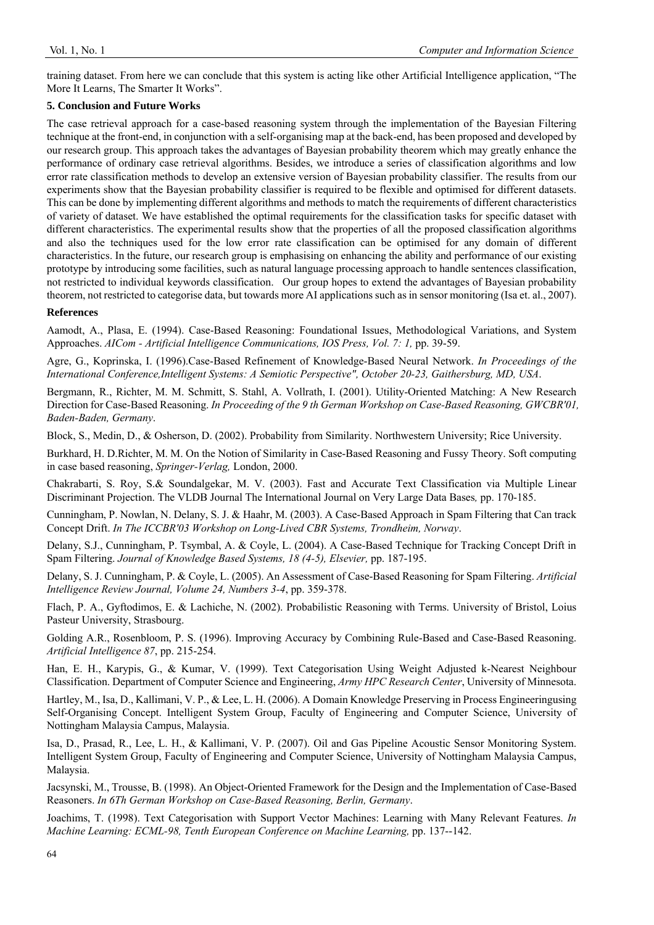training dataset. From here we can conclude that this system is acting like other Artificial Intelligence application, "The More It Learns, The Smarter It Works".

## **5. Conclusion and Future Works**

The case retrieval approach for a case-based reasoning system through the implementation of the Bayesian Filtering technique at the front-end, in conjunction with a self-organising map at the back-end, has been proposed and developed by our research group. This approach takes the advantages of Bayesian probability theorem which may greatly enhance the performance of ordinary case retrieval algorithms. Besides, we introduce a series of classification algorithms and low error rate classification methods to develop an extensive version of Bayesian probability classifier. The results from our experiments show that the Bayesian probability classifier is required to be flexible and optimised for different datasets. This can be done by implementing different algorithms and methods to match the requirements of different characteristics of variety of dataset. We have established the optimal requirements for the classification tasks for specific dataset with different characteristics. The experimental results show that the properties of all the proposed classification algorithms and also the techniques used for the low error rate classification can be optimised for any domain of different characteristics. In the future, our research group is emphasising on enhancing the ability and performance of our existing prototype by introducing some facilities, such as natural language processing approach to handle sentences classification, not restricted to individual keywords classification. Our group hopes to extend the advantages of Bayesian probability theorem, not restricted to categorise data, but towards more AI applications such as in sensor monitoring (Isa et. al., 2007).

## **References**

Aamodt, A., Plasa, E. (1994). Case-Based Reasoning: Foundational Issues, Methodological Variations, and System Approaches. *AICom - Artificial Intelligence Communications, IOS Press, Vol. 7: 1,* pp. 39-59.

Agre, G., Koprinska, I. (1996).Case-Based Refinement of Knowledge-Based Neural Network. *In Proceedings of the International Conference,Intelligent Systems: A Semiotic Perspective", October 20-23, Gaithersburg, MD, USA*.

Bergmann, R., Richter, M. M. Schmitt, S. Stahl, A. Vollrath, I. (2001). Utility-Oriented Matching: A New Research Direction for Case-Based Reasoning. *In Proceeding of the 9 th German Workshop on Case-Based Reasoning, GWCBR'01, Baden-Baden, Germany*.

Block, S., Medin, D., & Osherson, D. (2002). Probability from Similarity. Northwestern University; Rice University.

Burkhard, H. D.Richter, M. M. On the Notion of Similarity in Case-Based Reasoning and Fussy Theory. Soft computing in case based reasoning, *Springer-Verlag,* London, 2000.

Chakrabarti, S. Roy, S.& Soundalgekar, M. V. (2003). Fast and Accurate Text Classification via Multiple Linear Discriminant Projection. The VLDB Journal The International Journal on Very Large Data Bases*,* pp. 170-185.

Cunningham, P. Nowlan, N. Delany, S. J. & Haahr, M. (2003). A Case-Based Approach in Spam Filtering that Can track Concept Drift. *In The ICCBR'03 Workshop on Long-Lived CBR Systems, Trondheim, Norway*.

Delany, S.J., Cunningham, P. Tsymbal, A. & Coyle, L. (2004). A Case-Based Technique for Tracking Concept Drift in Spam Filtering. *Journal of Knowledge Based Systems, 18 (4-5), Elsevier,* pp. 187-195.

Delany, S. J. Cunningham, P. & Coyle, L. (2005). An Assessment of Case-Based Reasoning for Spam Filtering. *Artificial Intelligence Review Journal, Volume 24, Numbers 3-4*, pp. 359-378.

Flach, P. A., Gyftodimos, E. & Lachiche, N. (2002). Probabilistic Reasoning with Terms. University of Bristol, Loius Pasteur University, Strasbourg.

Golding A.R., Rosenbloom, P. S. (1996). Improving Accuracy by Combining Rule-Based and Case-Based Reasoning. *Artificial Intelligence 87*, pp. 215-254.

Han, E. H., Karypis, G., & Kumar, V. (1999). Text Categorisation Using Weight Adjusted k-Nearest Neighbour Classification. Department of Computer Science and Engineering, *Army HPC Research Center*, University of Minnesota.

Hartley, M., Isa, D., Kallimani, V. P., & Lee, L. H. (2006). A Domain Knowledge Preserving in Process Engineeringusing Self-Organising Concept. Intelligent System Group, Faculty of Engineering and Computer Science, University of Nottingham Malaysia Campus, Malaysia.

Isa, D., Prasad, R., Lee, L. H., & Kallimani, V. P. (2007). Oil and Gas Pipeline Acoustic Sensor Monitoring System. Intelligent System Group, Faculty of Engineering and Computer Science, University of Nottingham Malaysia Campus, Malaysia.

Jacsynski, M., Trousse, B. (1998). An Object-Oriented Framework for the Design and the Implementation of Case-Based Reasoners. *In 6Th German Workshop on Case-Based Reasoning, Berlin, Germany*.

Joachims, T. (1998). Text Categorisation with Support Vector Machines: Learning with Many Relevant Features. *In Machine Learning: ECML-98, Tenth European Conference on Machine Learning,* pp. 137--142.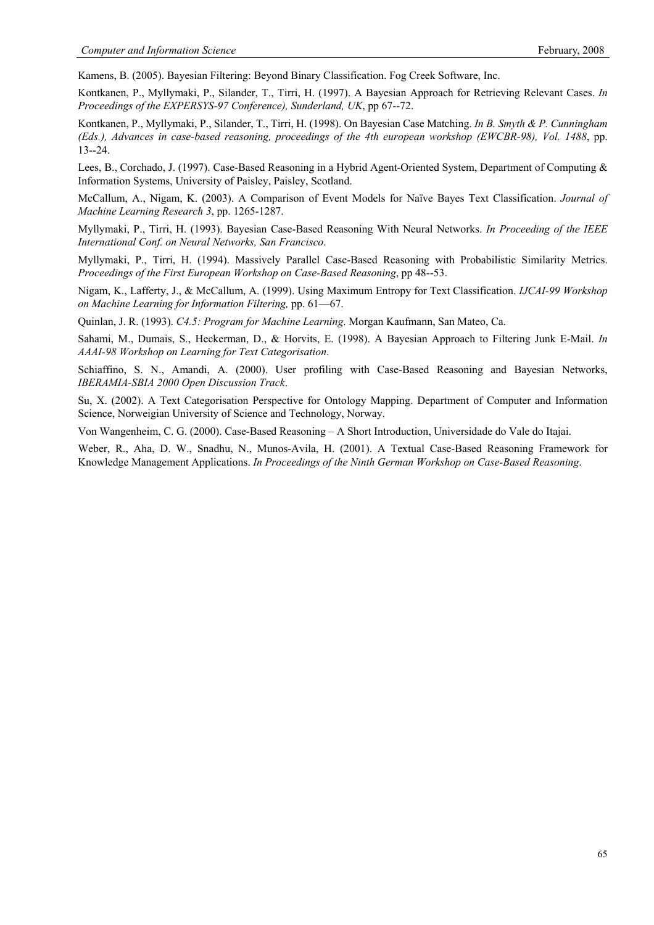Kamens, B. (2005). Bayesian Filtering: Beyond Binary Classification. Fog Creek Software, Inc.

Kontkanen, P., Myllymaki, P., Silander, T., Tirri, H. (1997). A Bayesian Approach for Retrieving Relevant Cases. *In Proceedings of the EXPERSYS-97 Conference), Sunderland, UK*, pp 67--72.

Kontkanen, P., Myllymaki, P., Silander, T., Tirri, H. (1998). On Bayesian Case Matching. *In B. Smyth & P. Cunningham (Eds.), Advances in case-based reasoning, proceedings of the 4th european workshop (EWCBR-98), Vol. 1488*, pp. 13--24.

Lees, B., Corchado, J. (1997). Case-Based Reasoning in a Hybrid Agent-Oriented System, Department of Computing & Information Systems, University of Paisley, Paisley, Scotland.

McCallum, A., Nigam, K. (2003). A Comparison of Event Models for Naïve Bayes Text Classification. *Journal of Machine Learning Research 3*, pp. 1265-1287.

Myllymaki, P., Tirri, H. (1993). Bayesian Case-Based Reasoning With Neural Networks. *In Proceeding of the IEEE International Conf. on Neural Networks, San Francisco*.

Myllymaki, P., Tirri, H. (1994). Massively Parallel Case-Based Reasoning with Probabilistic Similarity Metrics. *Proceedings of the First European Workshop on Case-Based Reasoning*, pp 48--53.

Nigam, K., Lafferty, J., & McCallum, A. (1999). Using Maximum Entropy for Text Classification. *IJCAI-99 Workshop on Machine Learning for Information Filtering,* pp. 61—67.

Quinlan, J. R. (1993). *C4.5: Program for Machine Learning*. Morgan Kaufmann, San Mateo, Ca.

Sahami, M., Dumais, S., Heckerman, D., & Horvits, E. (1998). A Bayesian Approach to Filtering Junk E-Mail. *In AAAI-98 Workshop on Learning for Text Categorisation*.

Schiaffino, S. N., Amandi, A. (2000). User profiling with Case-Based Reasoning and Bayesian Networks, *IBERAMIA-SBIA 2000 Open Discussion Track*.

Su, X. (2002). A Text Categorisation Perspective for Ontology Mapping. Department of Computer and Information Science, Norweigian University of Science and Technology, Norway.

Von Wangenheim, C. G. (2000). Case-Based Reasoning – A Short Introduction, Universidade do Vale do Itajai.

Weber, R., Aha, D. W., Snadhu, N., Munos-Avila, H. (2001). A Textual Case-Based Reasoning Framework for Knowledge Management Applications. *In Proceedings of the Ninth German Workshop on Case-Based Reasoning*.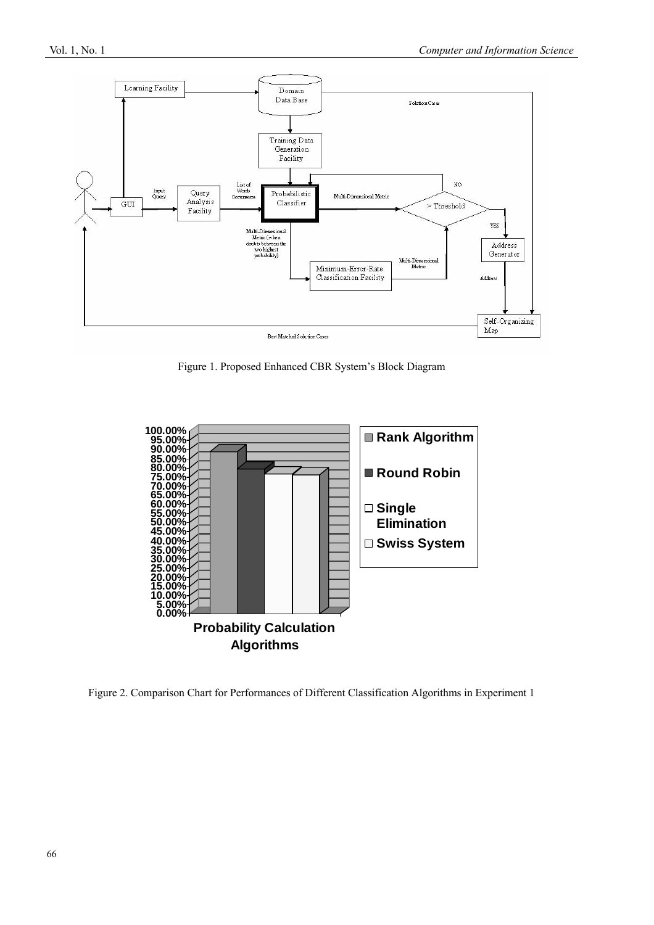

Figure 1. Proposed Enhanced CBR System's Block Diagram



Figure 2. Comparison Chart for Performances of Different Classification Algorithms in Experiment 1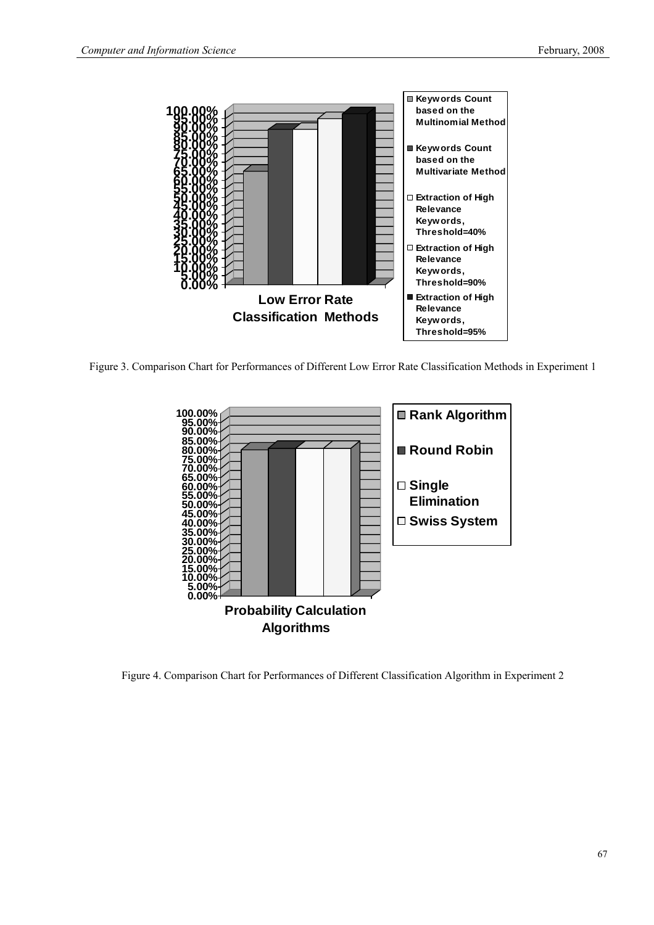

Figure 3. Comparison Chart for Performances of Different Low Error Rate Classification Methods in Experiment 1



Figure 4. Comparison Chart for Performances of Different Classification Algorithm in Experiment 2